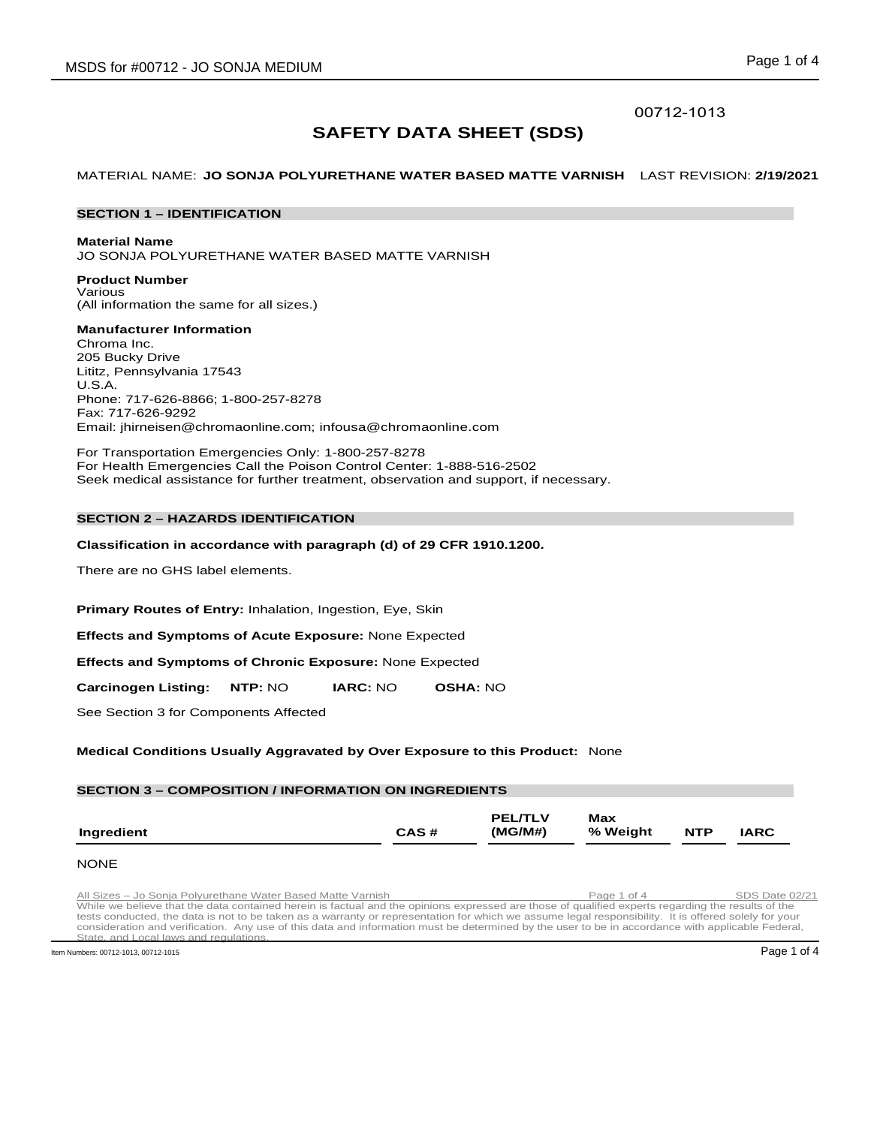## 00712-1013

# **SAFETY DATA SHEET (SDS)**

MATERIAL NAME: **JO SONJA POLYURETHANE WATER BASED MATTE VARNISH** LAST REVISION: **2/19/2021**

## **SECTION 1 – IDENTIFICATION**

#### **Material Name**

JO SONJA POLYURETHANE WATER BASED MATTE VARNISH

**Product Number** Various (All information the same for all sizes.)

## **Manufacturer Information**

Chroma Inc. 205 Bucky Drive Lititz, Pennsylvania 17543 U.S.A. Phone: 717-626-8866; 1-800-257-8278 Fax: 717-626-9292 Email: jhirneisen@chromaonline.com; infousa@chromaonline.com

For Transportation Emergencies Only: 1-800-257-8278 For Health Emergencies Call the Poison Control Center: 1-888-516-2502 Seek medical assistance for further treatment, observation and support, if necessary.

## **SECTION 2 – HAZARDS IDENTIFICATION**

## **Classification in accordance with paragraph (d) of 29 CFR 1910.1200.**

There are no GHS label elements.

**Primary Routes of Entry:** Inhalation, Ingestion, Eye, Skin

**Effects and Symptoms of Acute Exposure:** None Expected

**Effects and Symptoms of Chronic Exposure:** None Expected

**Carcinogen Listing: NTP:** NO **IARC:** NO **OSHA:** NO

See Section 3 for Components Affected

**Medical Conditions Usually Aggravated by Over Exposure to this Product:** None

#### **SECTION 3 – COMPOSITION / INFORMATION ON INGREDIENTS Ingredient CAS # PEL/TLV (MG/M#) Max % Weight NTP IARC**

#### **NONE**

All Sizes - Jo Sonja Polyurethane Water Based Matte Varnish Page 1 of 4 SDS Date 02/21<br>While we believe that the data contained herein is factual and the opinions expressed are those of qualified experts regarding the resu tests conducted, the data is not to be taken as a warranty or representation for which we assume legal responsibility. It is offered solely for your consideration and verification. Any use of this data and information must be determined by the user to be in accordance with applicable Federal, and regulation

Item Numbers: 00712-1013, 00712-1015 Page 1 of 4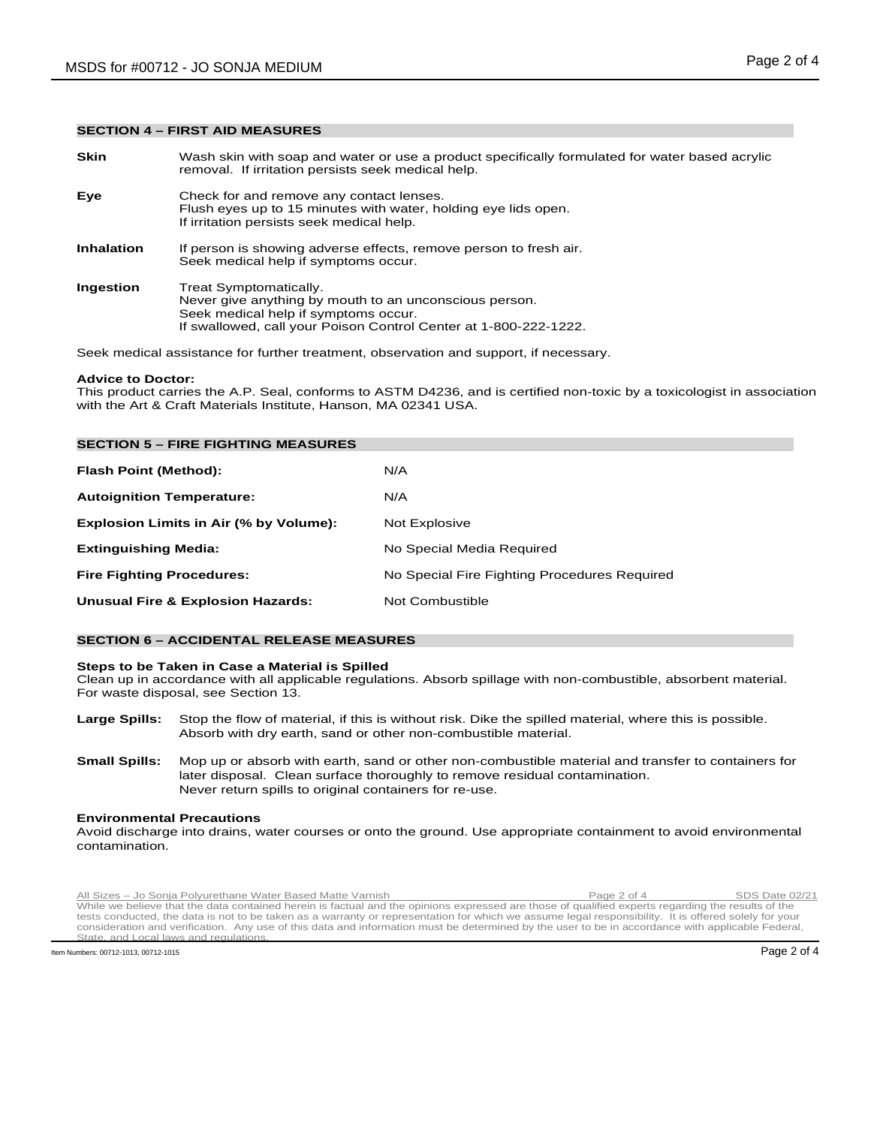## **SECTION 4 – FIRST AID MEASURES**

**Skin** Wash skin with soap and water or use a product specifically formulated for water based acrylic removal. If irritation persists seek medical help. **Eye** Check for and remove any contact lenses. Flush eyes up to 15 minutes with water, holding eye lids open. If irritation persists seek medical help. **Inhalation** If person is showing adverse effects, remove person to fresh air. Seek medical help if symptoms occur. **Ingestion** Treat Symptomatically. Never give anything by mouth to an unconscious person. Seek medical help if symptoms occur. If swallowed, call your Poison Control Center at 1-800-222-1222.

Seek medical assistance for further treatment, observation and support, if necessary.

#### **Advice to Doctor:**

This product carries the A.P. Seal, conforms to ASTM D4236, and is certified non-toxic by a toxicologist in association with the Art & Craft Materials Institute, Hanson, MA 02341 USA.

| <b>SECTION 5 - FIRE FIGHTING MEASURES</b>    |                                              |
|----------------------------------------------|----------------------------------------------|
| Flash Point (Method):                        | N/A                                          |
| <b>Autoignition Temperature:</b>             | N/A                                          |
| Explosion Limits in Air (% by Volume):       | Not Explosive                                |
| <b>Extinguishing Media:</b>                  | No Special Media Required                    |
| <b>Fire Fighting Procedures:</b>             | No Special Fire Fighting Procedures Required |
| <b>Unusual Fire &amp; Explosion Hazards:</b> | Not Combustible                              |

## **SECTION 6 – ACCIDENTAL RELEASE MEASURES**

#### **Steps to be Taken in Case a Material is Spilled**

Clean up in accordance with all applicable regulations. Absorb spillage with non-combustible, absorbent material. For waste disposal, see Section 13.

- **Large Spills:** Stop the flow of material, if this is without risk. Dike the spilled material, where this is possible. Absorb with dry earth, sand or other non-combustible material.
- **Small Spills:** Mop up or absorb with earth, sand or other non-combustible material and transfer to containers for later disposal. Clean surface thoroughly to remove residual contamination. Never return spills to original containers for re-use.

#### **Environmental Precautions**

Avoid discharge into drains, water courses or onto the ground. Use appropriate containment to avoid environmental contamination.

Rul Sizes - Jo Sonja Polyurethane Water Based Matte Varnish **1998** Page 2 of 4 SDS Date 02/21<br>While we believe that the data contained herein is factual and the opinions expressed are those of qualified experts regarding t tests conducted, the data is not to be taken as a warranty or representation for which we assume legal responsibility. It is offered solely for your consideration and verification. Any use of this data and information must be determined by the user to be in accordance with applicable Federal, and regulation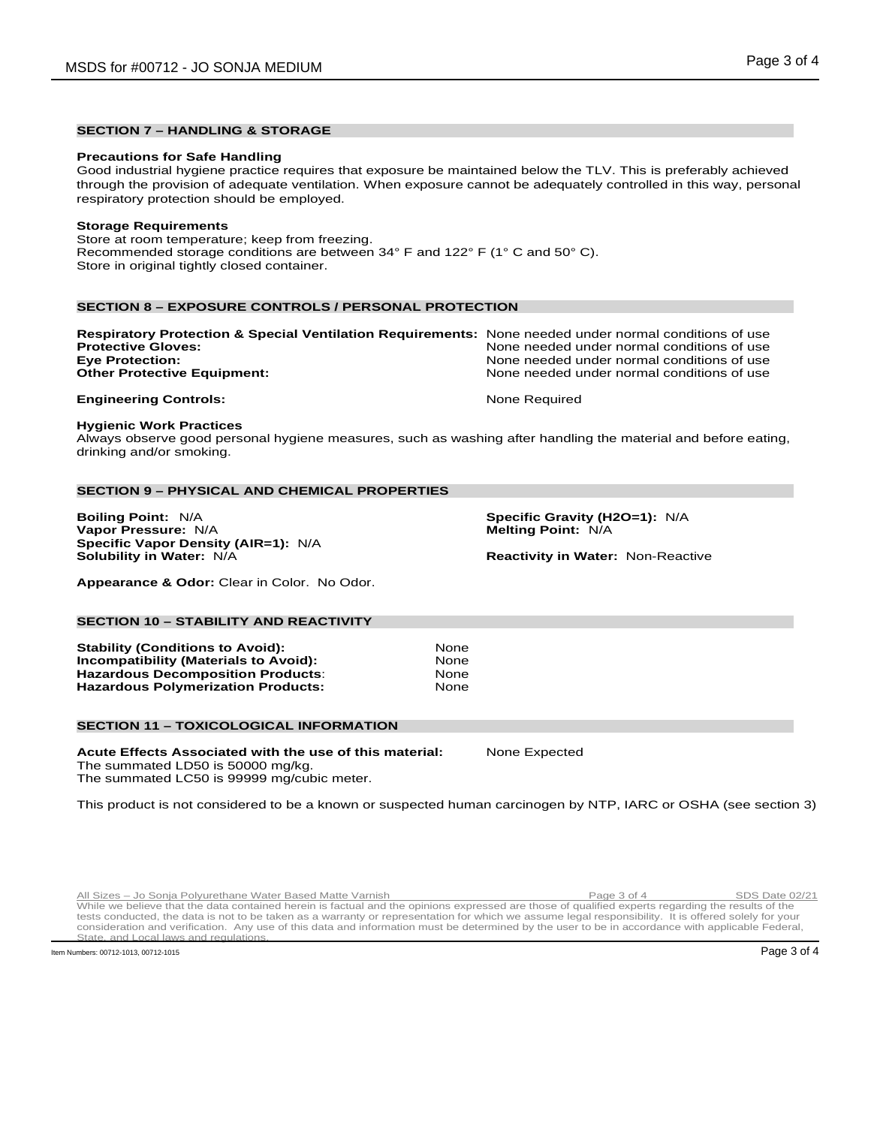## **SECTION 7 – HANDLING & STORAGE**

#### **Precautions for Safe Handling**

Good industrial hygiene practice requires that exposure be maintained below the TLV. This is preferably achieved through the provision of adequate ventilation. When exposure cannot be adequately controlled in this way, personal respiratory protection should be employed.

#### **Storage Requirements**

Store at room temperature; keep from freezing. Recommended storage conditions are between 34° F and 122° F (1° C and 50° C). Store in original tightly closed container.

## **SECTION 8 – EXPOSURE CONTROLS / PERSONAL PROTECTION**

| Respiratory Protection & Special Ventilation Requirements: None needed under normal conditions of use |                                            |
|-------------------------------------------------------------------------------------------------------|--------------------------------------------|
| <b>Protective Gloves:</b>                                                                             | None needed under normal conditions of use |
| <b>Eve Protection:</b>                                                                                | None needed under normal conditions of use |
| <b>Other Protective Equipment:</b>                                                                    | None needed under normal conditions of use |
|                                                                                                       |                                            |

#### **Engineering Controls:** None Required

#### **Hygienic Work Practices**

Always observe good personal hygiene measures, such as washing after handling the material and before eating, drinking and/or smoking.

#### **SECTION 9 – PHYSICAL AND CHEMICAL PROPERTIES**

**Boiling Point:** N/A **Specific Gravity (H2O=1):** N/A **Vapor Pressure:** N/A **Specific Vapor Density (AIR=1): N/A Solubility in Water: N/A** 

**Reactivity in Water: Non-Reactive** 

**Appearance & Odor:** Clear in Color. No Odor.

#### **SECTION 10 – STABILITY AND REACTIVITY**

**Stability (Conditions to Avoid): None None None None None None Incompatibility (Materials to Avoid): 32 Mone Products:** None None **Hazardous Decomposition Products: The Solution Conduct State State State Inconducts**<br>**Hazardous Polymerization Products: None Hazardous Polymerization Products:** 

## **SECTION 11 – TOXICOLOGICAL INFORMATION**

**Acute Effects Associated with the use of this material:** None Expected The summated LD50 is 50000 mg/kg. The summated LC50 is 99999 mg/cubic meter.

This product is not considered to be a known or suspected human carcinogen by NTP, IARC or OSHA (see section 3)

Rul Sizes - Jo Sonja Polyurethane Water Based Matte Varnish Communish Page 3 of 4 SDS Date 02/21 tests conducted, the data is not to be taken as a warranty or representation for which we assume legal responsibility. It is offered solely for your consideration and verification. Any use of this data and information must be determined by the user to be in accordance with applicable Federal, and regulation